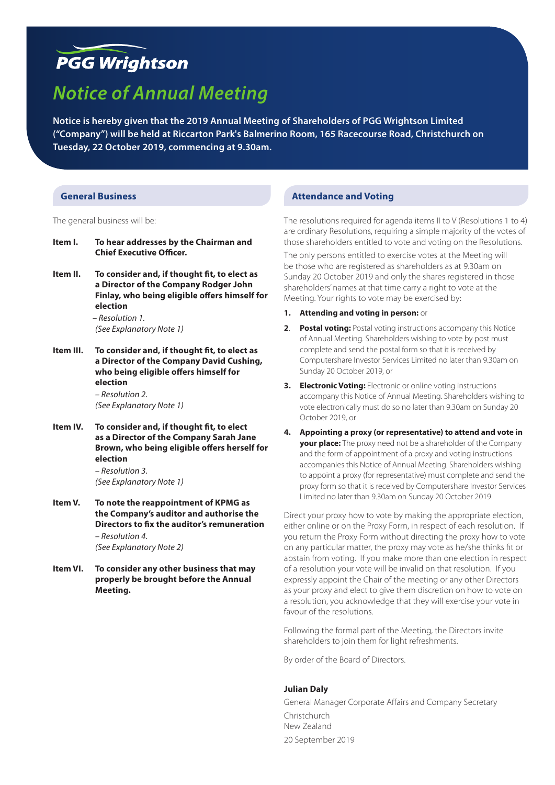# **PGG Wrightson**

# *Notice of Annual Meeting*

**Notice is hereby given that the 2019 Annual Meeting of Shareholders of PGG Wrightson Limited ("Company") will be held at Riccarton Park's Balmerino Room, 165 Racecourse Road, Christchurch on Tuesday, 22 October 2019, commencing at 9.30am.**

### **General Business**

The general business will be:

- **Item I. To hear addresses by the Chairman and Chief Executive Officer.**
- **Item II. To consider and, if thought fit, to elect as a Director of the Company Rodger John Finlay, who being eligible offers himself for election**

*– Resolution 1. (See Explanatory Note 1)*

- **Item III. To consider and, if thought fit, to elect as a Director of the Company David Cushing, who being eligible offers himself for election** *– Resolution 2. (See Explanatory Note 1)*
- **Item IV. To consider and, if thought fit, to elect as a Director of the Company Sarah Jane Brown, who being eligible offers herself for election**

*– Resolution 3. (See Explanatory Note 1)*

**Item V. To note the reappointment of KPMG as the Company's auditor and authorise the Directors to fix the auditor's remuneration**  *– Resolution 4.* 

*(See Explanatory Note 2)*

**Item VI. To consider any other business that may properly be brought before the Annual Meeting.**

#### **Attendance and Voting**

The resolutions required for agenda items II to V (Resolutions 1 to 4) are ordinary Resolutions, requiring a simple majority of the votes of those shareholders entitled to vote and voting on the Resolutions.

The only persons entitled to exercise votes at the Meeting will be those who are registered as shareholders as at 9.30am on Sunday 20 October 2019 and only the shares registered in those shareholders' names at that time carry a right to vote at the Meeting. Your rights to vote may be exercised by:

- **1. Attending and voting in person:** or
- **2. Postal voting:** Postal voting instructions accompany this Notice of Annual Meeting. Shareholders wishing to vote by post must complete and send the postal form so that it is received by Computershare Investor Services Limited no later than 9.30am on Sunday 20 October 2019, or
- **3. Electronic Voting:** Electronic or online voting instructions accompany this Notice of Annual Meeting. Shareholders wishing to vote electronically must do so no later than 9.30am on Sunday 20 October 2019, or
- **4. Appointing a proxy (or representative) to attend and vote in your place:** The proxy need not be a shareholder of the Company and the form of appointment of a proxy and voting instructions accompanies this Notice of Annual Meeting. Shareholders wishing to appoint a proxy (for representative) must complete and send the proxy form so that it is received by Computershare Investor Services Limited no later than 9.30am on Sunday 20 October 2019.

Direct your proxy how to vote by making the appropriate election, either online or on the Proxy Form, in respect of each resolution. If you return the Proxy Form without directing the proxy how to vote on any particular matter, the proxy may vote as he/she thinks fit or abstain from voting. If you make more than one election in respect of a resolution your vote will be invalid on that resolution. If you expressly appoint the Chair of the meeting or any other Directors as your proxy and elect to give them discretion on how to vote on a resolution, you acknowledge that they will exercise your vote in favour of the resolutions.

Following the formal part of the Meeting, the Directors invite shareholders to join them for light refreshments.

By order of the Board of Directors.

#### **Julian Daly**

General Manager Corporate Affairs and Company Secretary Christchurch New Zealand 20 September 2019